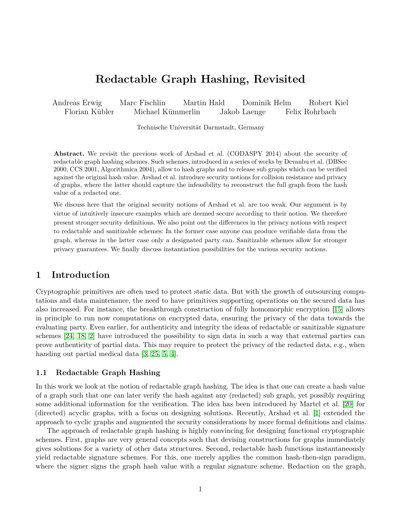# **Redactable Graph Hashing, Revisited**

<span id="page-0-0"></span>Andreas Erwig Marc Fischlin Martin Hald Dominik Helm Robert Kiel Florian Kübler Michael Kümmerlin Jakob Laenge Felix Rohrbach

Technische Universität Darmstadt, Germany

**Abstract.** We revisit the previous work of Arshad et al. (CODASPY 2014) about the security of redactable graph hashing schemes. Such schemes, introduced in a series of works by Devanbu et al. (DBSec 2000, CCS 2001, Algorithmica 2004), allow to hash graphs and to release sub graphs which can be verified against the original hash value. Arshad et al. introduce security notions for collision resistance and privacy of graphs, where the latter should capture the infeasibility to reconstruct the full graph from the hash value of a redacted one.

We discuss here that the original security notions of Arshad et al. are too weak. Our argument is by virtue of intuitively insecure examples which are deemed secure according to their notion. We therefore present stronger security definitions. We also point out the differences in the privacy notions with respect to redactable and sanitizable schemes: In the former case anyone can produce verifiable data from the graph, whereas in the latter case only a designated party can. Sanitizable schemes allow for stronger privacy guarantees. We finally discuss instantiation possibilities for the various security notions.

# **1 Introduction**

Cryptographic primitives are often used to protect static data. But with the growth of outsourcing computations and data maintenance, the need to have primitives supporting operations on the secured data has also increased. For instance, the breakthrough construction of fully homomorphic encryption [\[15\]](#page-16-0) allows in principle to run now computations on encrypted data, ensuring the privacy of the data towards the evaluating party. Even earlier, for authenticity and integrity the ideas of redactable or sanitizable signature schemes [\[24,](#page-17-0) [18,](#page-16-1) [2\]](#page-15-0) have introduced the possibility to sign data in such a way that external parties can prove authenticity of partial data. This may require to protect the privacy of the redacted data, e.g., when handing out partial medical data [\[3,](#page-15-1) [25,](#page-17-1) [5,](#page-15-2) [4\]](#page-15-3).

## **1.1 Redactable Graph Hashing**

In this work we look at the notion of redactable graph hashing. The idea is that one can create a hash value of a graph such that one can later verify the hash against any (redacted) sub graph, yet possibly requiring some additional information for the verification. The idea has been introduced by Martel et al. [\[20\]](#page-17-2) for (directed) acyclic graphs, with a focus on designing solutions. Recently, Arshad et al. [\[1\]](#page-15-4) extended the approach to cyclic graphs and augmented the security considerations by more formal definitions and claims.

The approach of redactable graph hashing is highly convincing for designing functional cryptographic schemes. First, graphs are very general concepts such that devising constructions for graphs immediately gives solutions for a variety of other data structures. Second, redactable hash functions instantaneously yield redactable signature schemes. For this, one merely applies the common hash-then-sign paradigm, where the signer signs the graph hash value with a regular signature scheme. Redaction on the graph,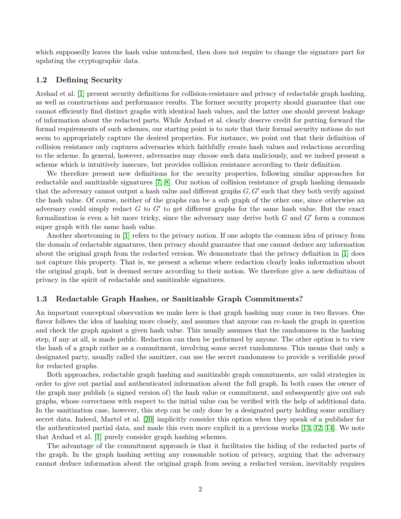<span id="page-1-0"></span>which supposedly leaves the hash value untouched, then does not require to change the signature part for updating the cryptographic data.

## **1.2 Defining Security**

Arshad et al. [\[1\]](#page-15-4) present security definitions for collision-resistance and privacy of redactable graph hashing, as well as constructions and performance results. The former security property should guarantee that one cannot efficiently find distinct graphs with identical hash values, and the latter one should prevent leakage of information about the redacted parts. While Arshad et al. clearly deserve credit for putting forward the formal requirements of such schemes, our starting point is to note that their formal security notions do not seem to appropriately capture the desired properties. For instance, we point out that their definition of collision resistance only captures adversaries which faithfully create hash values and redactions according to the scheme. In general, however, adversaries may choose such data maliciously, and we indeed present a scheme which is intuitively insecure, but provides collision resistance according to their definition.

We therefore present new definitions for the security properties, following similar approaches for redactable and sanitizable signatures [\[7,](#page-16-2) [8\]](#page-16-3). Our notion of collision resistance of graph hashing demands that the adversary cannot output a hash value and different graphs  $G, G'$  such that they both verify against the hash value. Of course, neither of the graphs can be a sub graph of the other one, since otherwise an adversary could simply redact  $G$  to  $G'$  to get different graphs for the same hash value. But the exact formalization is even a bit more tricky, since the adversary may derive both  $G$  and  $G'$  form a common super graph with the same hash value.

Another shortcoming in [\[1\]](#page-15-4) refers to the privacy notion. If one adopts the common idea of privacy from the domain of redactable signatures, then privacy should guarantee that one cannot deduce any information about the original graph from the redacted version. We demonstrate that the privacy definition in [\[1\]](#page-15-4) does not capture this property. That is, we present a scheme where redaction clearly leaks information about the original graph, but is deemed secure according to their notion. We therefore give a new definition of privacy in the spirit of redactable and sanitizable signatures.

## **1.3 Redactable Graph Hashes, or Sanitizable Graph Commitments?**

An important conceptual observation we make here is that graph hashing may come in two flavors. One flavor follows the idea of hashing more closely, and assumes that anyone can re-hash the graph in question and check the graph against a given hash value. This usually assumes that the randomness in the hashing step, if any at all, is made public. Redaction can then be performed by anyone. The other option is to view the hash of a graph rather as a commitment, involving some secret randomness. This means that only a designated party, usually called the sanitizer, can use the secret randomness to provide a verifiable proof for redacted graphs.

Both approaches, redactable graph hashing and sanitizable graph commitments, are valid strategies in order to give out partial and authenticated information about the full graph. In both cases the owner of the graph may publish (a signed version of) the hash value or commitment, and subsequently give out sub graphs, whose correctness with respect to the initial value can be verified with the help of additional data. In the sanitization case, however, this step can be only done by a designated party holding some auxiliary secret data. Indeed, Martel et al. [\[20\]](#page-17-2) implicitly consider this option when they speak of a publisher for the authenticated partial data, and made this even more explicit in a previous works [\[13,](#page-16-4) [12,](#page-16-5) [14\]](#page-16-6). We note that Arshad et al. [\[1\]](#page-15-4) purely consider graph hashing schemes.

The advantage of the commitment approach is that it facilitates the hiding of the redacted parts of the graph. In the graph hashing setting any reasonable notion of privacy, arguing that the adversary cannot deduce information about the original graph from seeing a redacted version, inevitably requires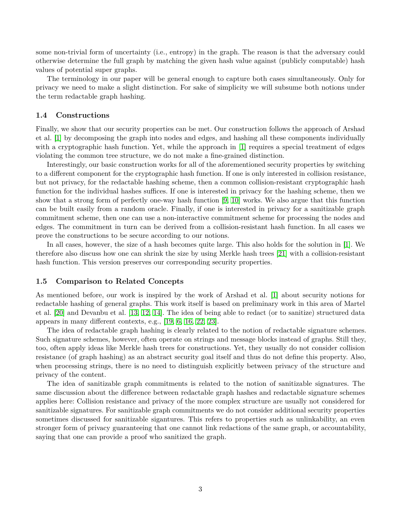<span id="page-2-0"></span>some non-trivial form of uncertainty (i.e., entropy) in the graph. The reason is that the adversary could otherwise determine the full graph by matching the given hash value against (publicly computable) hash values of potential super graphs.

The terminology in our paper will be general enough to capture both cases simultaneously. Only for privacy we need to make a slight distinction. For sake of simplicity we will subsume both notions under the term redactable graph hashing.

## **1.4 Constructions**

Finally, we show that our security properties can be met. Our construction follows the approach of Arshad et al. [\[1\]](#page-15-4) by decomposing the graph into nodes and edges, and hashing all these components individually with a cryptographic hash function. Yet, while the approach in [\[1\]](#page-15-4) requires a special treatment of edges violating the common tree structure, we do not make a fine-grained distinction.

Interestingly, our basic construction works for all of the aforementioned security properties by switching to a different component for the cryptographic hash function. If one is only interested in collision resistance, but not privacy, for the redactable hashing scheme, then a common collision-resistant cryptographic hash function for the individual hashes suffices. If one is interested in privacy for the hashing scheme, then we show that a strong form of perfectly one-way hash function [\[9,](#page-16-7) [10\]](#page-16-8) works. We also argue that this function can be built easily from a random oracle. Finally, if one is interested in privacy for a sanitizable graph commitment scheme, then one can use a non-interactive commitment scheme for processing the nodes and edges. The commitment in turn can be derived from a collision-resistant hash function. In all cases we prove the constructions to be secure according to our notions.

In all cases, however, the size of a hash becomes quite large. This also holds for the solution in [\[1\]](#page-15-4). We therefore also discuss how one can shrink the size by using Merkle hash trees [\[21\]](#page-17-3) with a collision-resistant hash function. This version preserves our corresponding security properties.

#### **1.5 Comparison to Related Concepts**

As mentioned before, our work is inspired by the work of Arshad et al. [\[1\]](#page-15-4) about security notions for redactable hashing of general graphs. This work itself is based on preliminary work in this area of Martel et al. [\[20\]](#page-17-2) and Devanbu et al. [\[13,](#page-16-4) [12,](#page-16-5) [14\]](#page-16-6). The idea of being able to redact (or to sanitize) structured data appears in many different contexts, e.g., [\[19,](#page-17-4) [6,](#page-15-5) [16,](#page-16-9) [22,](#page-17-5) [23\]](#page-17-6).

The idea of redactable graph hashing is clearly related to the notion of redactable signature schemes. Such signature schemes, however, often operate on strings and message blocks instead of graphs. Still they, too, often apply ideas like Merkle hash trees for constructions. Yet, they usually do not consider collision resistance (of graph hashing) as an abstract security goal itself and thus do not define this property. Also, when processing strings, there is no need to distinguish explicitly between privacy of the structure and privacy of the content.

The idea of sanitizable graph commitments is related to the notion of sanitizable signatures. The same discussion about the difference between redactable graph hashes and redactable signature schemes applies here: Collision resistance and privacy of the more complex structure are usually not considered for sanitizable signatures. For sanitizable graph commitments we do not consider additional security properties sometimes discussed for sanitizable sigantures. This refers to properties such as unlinkability, an even stronger form of privacy guaranteeing that one cannot link redactions of the same graph, or accountability, saying that one can provide a proof who sanitized the graph.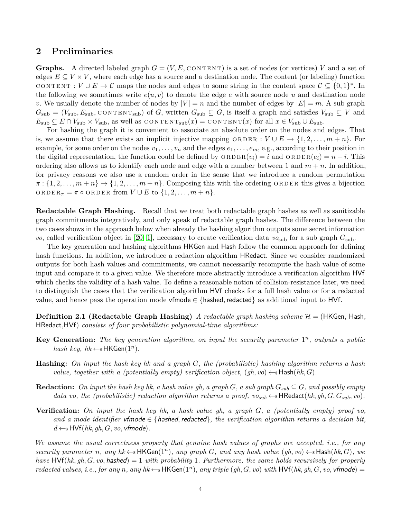## <span id="page-3-0"></span>**2 Preliminaries**

**Graphs.** A directed labeled graph  $G = (V, E, \text{CONTENT})$  is a set of nodes (or vertices) V and a set of edges  $E \subseteq V \times V$ , where each edge has a source and a destination node. The content (or labeling) function CONTENT :  $V \cup E \to C$  maps the nodes and edges to some string in the content space  $C \subseteq \{0,1\}^*$ . In the following we sometimes write  $e(u, v)$  to denote the edge  $e$  with source node  $u$  and destination node *v*. We usually denote the number of nodes by  $|V| = n$  and the number of edges by  $|E| = m$ . A sub graph  $G_{sub} = (V_{sub}, E_{sub}, \text{CONTENT}_{sub})$  of *G*, written  $G_{sub} \subseteq G$ , is itself a graph and satisfies  $V_{sub} \subseteq V$  and  $E_{\text{sub}} \subseteq E \cap V_{\text{sub}} \times V_{\text{sub}}$ , as well as CONTENT<sub>sub</sub> $(x) = \text{CONTENT}(x)$  for all  $x \in V_{\text{sub}} \cup E_{\text{sub}}$ .

For hashing the graph it is convenient to associate an absolute order on the nodes and edges. That is, we assume that there exists an implicit injective mapping  $ORDER : V \cup E \rightarrow \{1, 2, \ldots, m+n\}$ . For example, for some order on the nodes  $v_1, \ldots, v_n$  and the edges  $e_1, \ldots, e_m$ , e.g., according to their position in the digital representation, the function could be defined by  $ORDER(v_i) = i$  and  $ORDER(e_i) = n + i$ . This ordering also allows us to identify each node and edge with a number between 1 and  $m + n$ . In addition, for privacy reasons we also use a random order in the sense that we introduce a random permutation  $\pi : \{1, 2, \ldots, m+n\} \to \{1, 2, \ldots, m+n\}.$  Composing this with the ordering ORDER this gives a bijection ORDER<sub>*π*</sub> = *π*  $\circ$  ORDER from *V*  $\cup$  *E* to {1, 2, . . . , *m* + *n*}.

**Redactable Graph Hashing.** Recall that we treat both redactable graph hashes as well as sanitizable graph commitments integratively, and only speak of redactable graph hashes. The difference between the two cases shows in the approach below when already the hashing algorithm outputs some secret information *vo*, called verification object in [\[20,](#page-17-2) [1\]](#page-15-4), necessary to create verification data  $v_{\text{sub}}$  for a sub graph  $G_{\text{sub}}$ .

The key generation and hashing algorithms HKGen and Hash follow the common approach for defining hash functions. In addition, we introduce a redaction algorithm **HRedact**. Since we consider randomized outputs for both hash values and commitments, we cannot necessarily recompute the hash value of some input and compare it to a given value. We therefore more abstractly introduce a verification algorithm HVf which checks the validity of a hash value. To define a reasonable notion of collision-resistance later, we need to distinguish the cases that the verification algorithm HVf checks for a full hash value or for a redacted value, and hence pass the operation mode vfmode  $\in \{\text{hashed}, \text{reduced}\}\$ as additional input to HVf.

**Def inition 2.1 (Redactable Graph Hashing)** *A redactable graph hashing scheme* H = (HKGen*,* Hash*,* HRedact*,*HVf) *consists of four probabilistic polynomial-time algorithms:*

- **Key Generation:** The key generation algorithm, on input the security parameter  $1^n$ , outputs a public  $hash key, hk \leftarrow s$  **HKGen** $(1^n)$ *.*
- **Hashing:** *On input the hash key hk and a graph G, the (probabilistic) hashing algorithm returns a hash value, together with a (potentially empty) verification object,*  $(qh, vo) \leftarrow$  Hash $(hk, G)$ *.*
- **Redaction:** On input the hash key hk, a hash value gh, a graph  $G$ , a sub graph  $G_{sub} \subseteq G$ , and possibly empty *data vo, the (probabilistic) redaction algorithm returns a proof,*  $vo_{sub} \leftarrow$  *HRedact(<i>hk, gh, G, G<sub>sub</sub>*, *vo*).
- **Verification:** *On input the hash key hk, a hash value gh, a graph G, a (potentially empty) proof vo, and a mode identifier* vfmode ∈ {hashed*,*redacted}*, the verification algorithm returns a decision bit,*  $d \leftarrow s$  HVf( $hk$ ,  $gh$ ,  $G$ ,  $vo$ , vfmode).

*We assume the usual correctness property that genuine hash values of graphs are accepted, i.e., for any*  $s$ *ecurity parameter n*, any  $hk \leftarrow$   $HKGen(1^n)$ , any graph *G*, and any hash value  $(gh, vo) \leftarrow$   $Hash(hk, G)$ , we *have* HVf(*hk, gh, G, vo,* hashed) = 1 *with probability* 1*. Furthermore, the same holds recursively for properly redacted values, i.e., for any*  $n$ *, any*  $hk \leftarrow s$  HKGen(1<sup>n</sup>)*, any triple* ( $gh, G, vo$ ) *with* HVf( $hk, gh, G, vo$ *, vfmode*) =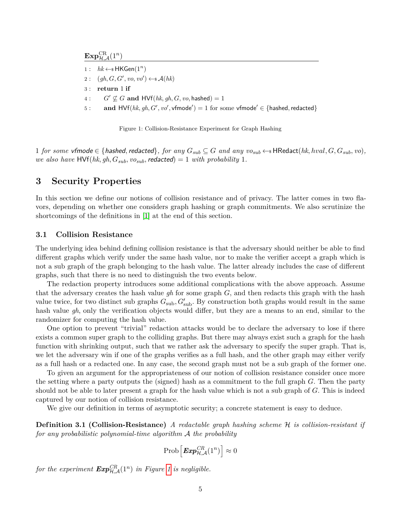<span id="page-4-1"></span><span id="page-4-0"></span> $\mathbf{Exp}_{\mathcal{H},\mathcal{A}}^{\text{CR}}(1^n)$ 

- 1 :  $hk \leftarrow$ \$ HKGen(1<sup>n</sup>)
- 2 :  $(gh, G, G', vo, vo') \leftarrow \{A(hk)}$
- 3 : **return** 1 **if**
- 4 :  $G' \nsubseteq G$  and  $HVf(hk, gh, G, vo, \text{hashed}) = 1$
- 5 : **and**  $HVf(hk, gh, G', vo', vfmode') = 1$  for some vfmode'  $\in$  {hashed, redacted}

Figure 1: Collision-Resistance Experiment for Graph Hashing

1 *for some* vfmode  $\in$  {hashed, redacted}, *for any*  $G_{sub} \subseteq G$  *and any*  $vo_{sub} \leftarrow$  \*HRedact(*hk*, *hval*,  $G$ ,  $G_{sub}$ ,  $vo$ ), *we also have*  $HVf(hk, gh, G<sub>sub</sub>, v<sub>sub</sub>, redacted) = 1 with probability 1.$ 

# **3 Security Properties**

In this section we define our notions of collision resistance and of privacy. The latter comes in two flavors, depending on whether one considers graph hashing or graph commitments. We also scrutinize the shortcomings of the definitions in [\[1\]](#page-15-4) at the end of this section.

## **3.1 Collision Resistance**

The underlying idea behind defining collision resistance is that the adversary should neither be able to find different graphs which verify under the same hash value, nor to make the verifier accept a graph which is not a sub graph of the graph belonging to the hash value. The latter already includes the case of different graphs, such that there is no need to distinguish the two events below.

The redaction property introduces some additional complications with the above approach. Assume that the adversary creates the hash value *gh* for some graph *G*, and then redacts this graph with the hash value twice, for two distinct sub graphs  $G_{sub}$ ,  $G'_{sub}$ . By construction both graphs would result in the same hash value *gh*, only the verification objects would differ, but they are a means to an end, similar to the randomizer for computing the hash value.

One option to prevent "trivial" redaction attacks would be to declare the adversary to lose if there exists a common super graph to the colliding graphs. But there may always exist such a graph for the hash function with shrinking output, such that we rather ask the adversary to specify the super graph. That is, we let the adversary win if one of the graphs verifies as a full hash, and the other graph may either verify as a full hash or a redacted one. In any case, the second graph must not be a sub graph of the former one.

To given an argument for the appropriateness of our notion of collision resistance consider once more the setting where a party outputs the (signed) hash as a commitment to the full graph *G*. Then the party should not be able to later present a graph for the hash value which is not a sub graph of *G*. This is indeed captured by our notion of collision resistance.

We give our definition in terms of asymptotic security; a concrete statement is easy to deduce.

**Definition 3.1 (Collision-Resistance)** *A redactable graph hashing scheme*  $H$  *is collision-resistant if for any probabilistic polynomial-time algorithm* A *the probability*

$$
\hbox{Prob}\Big[\textit{\textbf{Exp}}_{\mathcal{H},\mathcal{A}}^{CR}(1^n)\Big]\approx 0
$$

 $f$ or the experiment  $\pmb{Exp}_{\mathcal{H},\mathcal{A}}^{CR}(1^n)$  in Figure [1](#page-4-0) is negligible.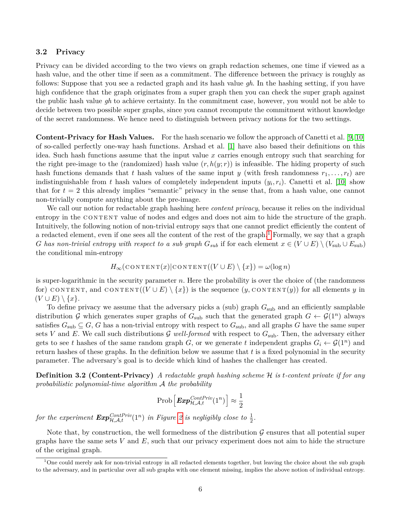## <span id="page-5-1"></span>**3.2 Privacy**

Privacy can be divided according to the two views on graph redaction schemes, one time if viewed as a hash value, and the other time if seen as a commitment. The difference between the privacy is roughly as follows: Suppose that you see a redacted graph and its hash value *gh*. In the hashing setting, if you have high confidence that the graph originates from a super graph then you can check the super graph against the public hash value *gh* to achieve certainty. In the commitment case, however, you would not be able to decide between two possible super graphs, since you cannot recompute the commitment without knowledge of the secret randomness. We hence need to distinguish between privacy notions for the two settings.

**Content-Privacy for Hash Values.** For the hash scenario we follow the approach of Canetti et al. [\[9,](#page-16-7) [10\]](#page-16-8) of so-called perfectly one-way hash functions. Arshad et al. [\[1\]](#page-15-4) have also based their definitions on this idea. Such hash functions assume that the input value *x* carries enough entropy such that searching for the right pre-image to the (randomized) hash value  $(r, h(y; r))$  is infeasible. The hiding property of such hash functions demands that *t* hash values of the same input *y* (with fresh randomness  $r_1, \ldots, r_t$ ) are indistinguishable from *t* hash values of completely independent inputs  $(y_i, r_i)$ . Canetti et al. [\[10\]](#page-16-8) show that for  $t = 2$  this already implies "semantic" privacy in the sense that, from a hash value, one cannot non-trivially compute anything about the pre-image.

We call our notion for redactable graph hashing here *content privacy*, because it relies on the individual entropy in the CONTENT value of nodes and edges and does not aim to hide the structure of the graph. Intuitively, the following notion of non-trivial entropy says that one cannot predict efficiently the content of a redacted element, even if one sees all the content of the rest of the graph.<sup>[1](#page-5-0)</sup> Formally, we say that a graph *G* has non-trivial entropy with respect to a sub-graph  $G_{sub}$  if for each element  $x \in (V \cup E) \setminus (V_{sub} \cup E_{sub})$ the conditional min-entropy

$$
H_{\infty}(\text{CONTENT}(x)|\text{CONTENT}((V \cup E) \setminus \{x\}) = \omega(\log n)
$$

is super-logarithmic in the security parameter *n*. Here the probability is over the choice of (the randomness for) CONTENT, and CONTENT $((V \cup E) \setminus \{x\})$  is the sequence  $(y, \text{CONTENT}(y))$  for all elements *y* in  $(V \cup E) \setminus \{x\}.$ 

To define privacy we assume that the adversary picks a (sub) graph  $G_{sub}$  and an efficiently samplable distribution G which generates super graphs of  $G_{sub}$  such that the generated graph  $G \leftarrow \mathcal{G}(1^n)$  always satisfies  $G_{sub} \subseteq G$ , *G* has a non-trivial entropy with respect to  $G_{sub}$ , and all graphs *G* have the same super sets *V* and *E*. We call such distributions G well-formed with respect to  $G_{sub}$ . Then, the adversary either gets to see *t* hashes of the same random graph *G*, or we generate *t* independent graphs  $G_i \leftarrow \mathcal{G}(1^n)$  and return hashes of these graphs. In the definition below we assume that *t* is a fixed polynomial in the security parameter. The adversary's goal is to decide which kind of hashes the challenger has created.

**Def inition 3.2 (Content-Privacy)** *A redactable graph hashing scheme* H *is t-content private if for any probabilistic polynomial-time algorithm* A *the probability*

$$
\hbox{Prob}\Big[\textit{Exp}^{\textit{ContPriv}}_{\mathcal{H},\mathcal{A},t}(1^n)\Big]\approx\frac{1}{2}
$$

for the experiment  $\pmb{Exp}^{ContPriv}_{\mathcal{H},\mathcal{A},t}(1^n)$  in Figure [2](#page-6-0) is negligibly close to  $\frac{1}{2}$ .

Note that, by construction, the well formedness of the distribution  $\mathcal G$  ensures that all potential super graphs have the same sets  $V$  and  $E$ , such that our privacy experiment does not aim to hide the structure of the original graph.

<span id="page-5-0"></span><sup>&</sup>lt;sup>1</sup>One could merely ask for non-trivial entropy in all redacted elements together, but leaving the choice about the sub graph to the adversary, and in particular over all sub graphs with one element missing, implies the above notion of individual entropy.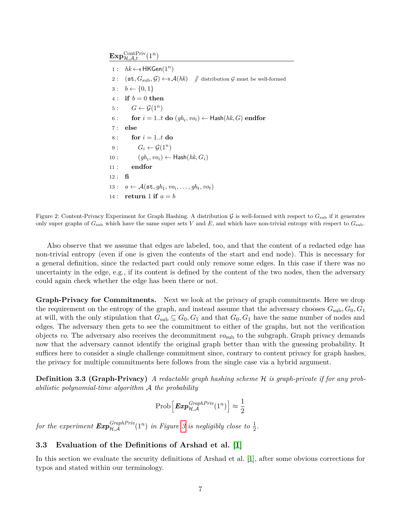# <span id="page-6-1"></span><span id="page-6-0"></span> $\mathbf{Exp}_{\mathcal{H},\mathcal{A},t}^{\text{ContPriv}}(1^n)$

1 :  $hk \leftarrow$ \$ HKGen(1<sup>n</sup>) 2 :  $(\texttt{st}, G_{\text{sub}}, \mathcal{G}) \leftarrow \mathcal{A}(hk)$  // distribution  $\mathcal{G}$  must be well-formed  $3: b \leftarrow \{0,1\}$ 4 : **if**  $b = 0$  **then** 5 :  $G \leftarrow \mathcal{G}(1^n)$ 6 : **for**  $i = 1..t$  **do**  $(gh_i, vo_i) \leftarrow$  Hash $(hk, G)$  **endfor** 7 : **else** 8 : **for**  $i = 1..t$  **do** 9 :  $G_i \leftarrow \mathcal{G}(1^n)$ 10 :  $(gh_i, vo_i) \leftarrow \textsf{Hash}(hk, G_i)$ 11 : **endfor** 12 : **fi** 13 :  $a \leftarrow \mathcal{A}(\texttt{st}, gh_1, vo_i, \dots, gh_t, vo_t)$ 14 : **return** 1 **if**  $a = b$ 

Figure 2: Content-Privacy Experiment for Graph Hashing. A distribution  $\mathcal G$  is well-formed with respect to  $G_{sub}$  if it generates only super graphs of *G*sub which have the same super sets *V* and *E*, and which have non-trivial entropy with respect to *G*sub.

Also observe that we assume that edges are labeled, too, and that the content of a redacted edge has non-trivial entropy (even if one is given the contents of the start and end node). This is necessary for a general definition, since the redacted part could only remove some edges. In this case if there was no uncertainty in the edge, e.g., if its content is defined by the content of the two nodes, then the adversary could again check whether the edge has been there or not.

**Graph-Privacy for Commitments.** Next we look at the privacy of graph commitments. Here we drop the requirement on the entropy of the graph, and instead assume that the adversary chooses  $G_{sub}, G_0, G_1$ at will, with the only stipulation that  $G_{sub} \subseteq G_0, G_1$  and that  $G_0, G_1$  have the same number of nodes and edges. The adversary then gets to see the commitment to either of the graphs, but not the verification objects *vo*. The adversary also receives the decommitment *vo*sub to the subgraph. Graph privacy demands now that the adversary cannot identify the original graph better than with the guessing probability. It suffices here to consider a single challenge commitment since, contrary to content privacy for graph hashes, the privacy for multiple commitments here follows from the single case via a hybrid argument.

**Definition 3.3 (Graph-Privacy)** *A redactable graph hashing scheme* H *is graph-private if for any probabilistic polynomial-time algorithm* A *the probability*

$$
\text{Prob}\Big[\textbf{Exp}_{\mathcal{H},\mathcal{A}}^{GraphPriv}(1^n)\Big] \approx \frac{1}{2}
$$

 $f$ or the experiment  $Exp_{\mathcal{H},\mathcal{A}}^{GraphPriv}(1^n)$  in Figure [3](#page-7-0) is negligibly close to  $\frac{1}{2}$ .

## **3.3 Evaluation of the Definitions of Arshad et al. [\[1\]](#page-15-4)**

In this section we evaluate the security definitions of Arshad et al. [\[1\]](#page-15-4), after some obvious corrections for typos and stated within our terminology.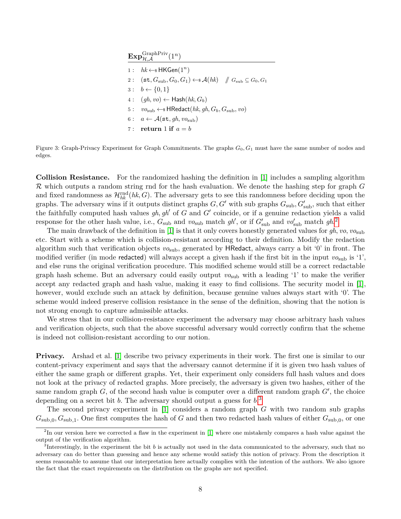<span id="page-7-3"></span><span id="page-7-0"></span> $\mathbf{Exp}_{\mathcal{H},\mathcal{A}}^{\mathrm{GraphPriv}}(1^n)$ 

- 1 :  $hk \leftarrow$ \$ HKGen(1<sup>n</sup>)
- 2:  $(\texttt{st}, G_{\text{sub}}, G_0, G_1) \leftarrow \mathcal{A}(hk)$  //  $G_{\text{sub}} \subseteq G_0, G_1$
- $3: b \leftarrow \{0, 1\}$
- $4: (gh, vo) \leftarrow$  Hash $(hk, G_b)$
- $5: v o_{sub} \leftarrow s \text{ HRedact}(hk, gh, G_b, G_{sub}, vo)$
- $6: a \leftarrow \mathcal{A}(\texttt{st}, gh, vo_{sub})$
- 7 : **return** 1 **if**  $a = b$

Figure 3: Graph-Privacy Experiment for Graph Commitments. The graphs *G*0*, G*<sup>1</sup> must have the same number of nodes and edges.

**Collision Resistance.** For the randomized hashing the definition in [\[1\]](#page-15-4) includes a sampling algorithm R which outputs a random string rnd for the hash evaluation. We denote the hashing step for graph *G* and fixed randomness as  $\mathcal{H}_{hk}^{\text{rnd}}(hk, G)$ . The adversary gets to see this randomness before deciding upon the graphs. The adversary wins if it outputs distinct graphs  $G, G'$  with sub graphs  $G_{sub}, G'_{sub}$ , such that either the faithfully computed hash values  $gh, gh'$  of  $G$  and  $G'$  coincide, or if a genuine redaction yields a valid response for the other hash value, i.e.,  $G_{\text{sub}}$  and  $vo_{\text{sub}}$  match  $gh'$ , or if  $G'_{\text{sub}}$  and  $vo'_{\text{sub}}$  match  $gh$ <sup>[2](#page-7-1)</sup>

The main drawback of the definition in [\[1\]](#page-15-4) is that it only covers honestly generated values for  $gh$ *, vo*,  $v_{\text{sub}}$ etc. Start with a scheme which is collision-resistant according to their definition. Modify the redaction algorithm such that verification objects *vo*sub, generated by HRedact, always carry a bit '0' in front. The modified verifier (in mode redacted) will always accept a given hash if the first bit in the input *vo*sub is '1', and else runs the original verification procedure. This modified scheme would still be a correct redactable graph hash scheme. But an adversary could easily output *vo*sub with a leading '1' to make the verifier accept any redacted graph and hash value, making it easy to find collisions. The security model in [\[1\]](#page-15-4), however, would exclude such an attack by definition, because genuine values always start with '0'. The scheme would indeed preserve collision resistance in the sense of the definition, showing that the notion is not strong enough to capture admissible attacks.

We stress that in our collision-resistance experiment the adversary may choose arbitrary hash values and verification objects, such that the above successful adversary would correctly confirm that the scheme is indeed not collision-resistant according to our notion.

**Privacy.** Arshad et al. [\[1\]](#page-15-4) describe two privacy experiments in their work. The first one is similar to our content-privacy experiment and says that the adversary cannot determine if it is given two hash values of either the same graph or different graphs. Yet, their experiment only considers full hash values and does not look at the privacy of redacted graphs. More precisely, the adversary is given two hashes, either of the same random graph  $G$ , of the second hash value is computer over a different random graph  $G'$ , the choice depending on a secret bit *b*. The adversary should output a guess for *b*. [3](#page-7-2)

The second privacy experiment in [\[1\]](#page-15-4) considers a random graph *G* with two random sub graphs  $G_{\text{sub},0}, G_{\text{sub},1}$ . One first computes the hash of *G* and then two redacted hash values of either  $G_{\text{sub},0}$ , or one

<span id="page-7-1"></span> $^{2}$ In our version here we corrected a flaw in the experiment in [\[1\]](#page-15-4) where one mistakenly compares a hash value against the output of the verification algorithm.

<span id="page-7-2"></span><sup>&</sup>lt;sup>3</sup>Interestingly, in the experiment the bit *b* is actually not used in the data communicated to the adversary, such that no adversary can do better than guessing and hence any scheme would satisfy this notion of privacy. From the description it seems reasonable to assume that our interpretation here actually complies with the intention of the authors. We also ignore the fact that the exact requirements on the distribution on the graphs are not specified.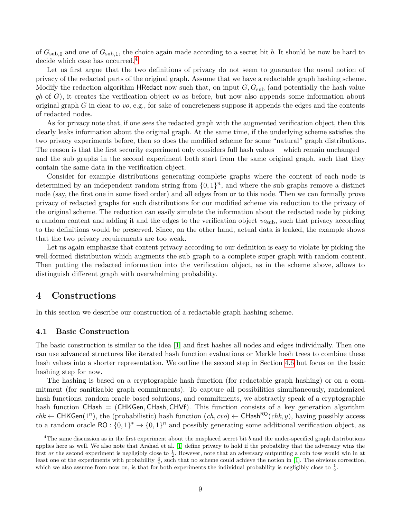<span id="page-8-2"></span>of *G*sub*,*<sup>0</sup> and one of *G*sub*,*<sup>1</sup> , the choice again made according to a secret bit *b*. It should be now be hard to decide which case has occurred.<sup>[4](#page-8-0)</sup>

Let us first argue that the two definitions of privacy do not seem to guarantee the usual notion of privacy of the redacted parts of the original graph. Assume that we have a redactable graph hashing scheme. Modify the redaction algorithm **HRedact** now such that, on input  $G, G<sub>sub</sub>$  (and potentially the hash value *gh* of *G*), it creates the verification object *vo* as before, but now also appends some information about original graph *G* in clear to *vo*, e.g., for sake of concreteness suppose it appends the edges and the contents of redacted nodes.

As for privacy note that, if one sees the redacted graph with the augmented verification object, then this clearly leaks information about the original graph. At the same time, if the underlying scheme satisfies the two privacy experiments before, then so does the modified scheme for some "natural" graph distributions. The reason is that the first security experiment only considers full hash values —which remain unchanged and the sub graphs in the second experiment both start from the same original graph, such that they contain the same data in the verification object.

Consider for example distributions generating complete graphs where the content of each node is determined by an independent random string from  $\{0,1\}^n$ , and where the sub graphs remove a distinct node (say, the first one in some fixed order) and all edges from or to this node. Then we can formally prove privacy of redacted graphs for such distributions for our modified scheme via reduction to the privacy of the original scheme. The reduction can easily simulate the information about the redacted node by picking a random content and adding it and the edges to the verification object *vo*sub, such that privacy according to the definitions would be preserved. Since, on the other hand, actual data is leaked, the example shows that the two privacy requirements are too weak.

Let us again emphasize that content privacy according to our definition is easy to violate by picking the well-formed distribution which augments the sub graph to a complete super graph with random content. Then putting the redacted information into the verification object, as in the scheme above, allows to distinguish different graph with overwhelming probability.

## **4 Constructions**

In this section we describe our construction of a redactable graph hashing scheme.

## <span id="page-8-1"></span>**4.1 Basic Construction**

The basic construction is similar to the idea [\[1\]](#page-15-4) and first hashes all nodes and edges individually. Then one can use advanced structures like iterated hash function evaluations or Merkle hash trees to combine these hash values into a shorter representation. We outline the second step in Section [4.6](#page-13-0) but focus on the basic hashing step for now.

The hashing is based on a cryptographic hash function (for redactable graph hashing) or on a commitment (for sanitizable graph commitments). To capture all possibilities simultaneously, randomized hash functions, random oracle based solutions, and commitments, we abstractly speak of a cryptographic hash function CHash = (CHKGen*,* CHash*,* CHVf). This function consists of a key generation algorithm  $chk$  ← CHKGen(1<sup>n</sup>), the (probabilistic) hash function  $(ch, cvo)$  ← CHash<sup>RO</sup>( $chk, y$ ), having possibly access to a random oracle  $\text{RO}: \{0,1\}^* \to \{0,1\}^n$  and possibly generating some additional verification object, as

<span id="page-8-0"></span><sup>&</sup>lt;sup>4</sup>The same discussion as in the first experiment about the misplaced secret bit *b* and the under-specified graph distributions applies here as well. We also note that Arshad et al. [\[1\]](#page-15-4) define privacy to hold if the probability that the adversary wins the first *or* the second experiment is negligibly close to  $\frac{1}{2}$ . However, note that an adversary outputting a coin toss would win in at least one of the experiments with probability  $\frac{3}{4}$ , such that no scheme could achieve the notion in [\[1\]](#page-15-4). The obvious correction, which we also assume from now on, is that for both experiments the individual probability is negligibly close to  $\frac{1}{2}$ .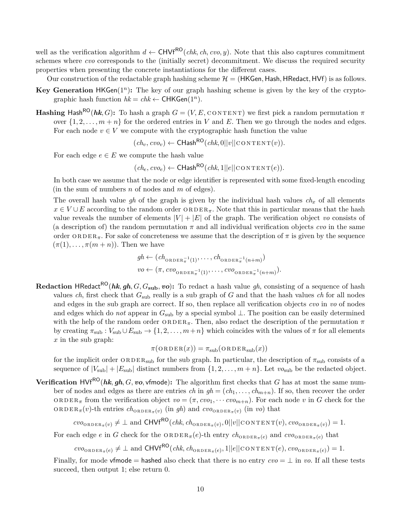well as the verification algorithm  $d \leftarrow \text{CHVf}^{\text{RO}}(ck, ch, cvo, y)$ . Note that this also captures commitment schemes where *cvo* corresponds to the (initially secret) decommitment. We discuss the required security properties when presenting the concrete instantiations for the different cases.

Our construction of the redactable graph hashing scheme  $H = (HKGen, Hash, HRedact, HVf)$  is as follows.

- **Key Generation**  $HKGen(1^n)$ : The key of our graph hashing scheme is given by the key of the cryptographic hash function  $hk = chk \leftarrow \text{CHKGen}(1^n)$ .
- **Hashing** Hash<sup>RO</sup>(*hk*, *G*): To hash a graph  $G = (V, E, \text{CONTENT})$  we first pick a random permutation  $\pi$ over  $\{1, 2, \ldots, m+n\}$  for the ordered entries in *V* and *E*. Then we go through the nodes and edges. For each node  $v \in V$  we compute with the cryptographic hash function the value

 $(ch_v, cvo_v) \leftarrow \text{CHash}^{\text{RO}}(chk, 0||v|| \text{CONTENT}(v)).$ 

For each edge  $e \in E$  we compute the hash value

 $(ch_e, cvo_e) \leftarrow \text{CHash}^{\text{RO}}(chk, 1||e|| \text{CONTENT}(e)).$ 

In both case we assume that the node or edge identifier is represented with some fixed-length encoding (in the sum of numbers *n* of nodes and *m* of edges).

The overall hash value  $gh$  of the graph is given by the individual hash values  $ch_x$  of all elements  $x \in V \cup E$  according to the random order  $\text{ORDER}_{\pi}$ . Note that this in particular means that the hash value reveals the number of elements  $|V| + |E|$  of the graph. The verification object *vo* consists of (a description of) the random permutation  $\pi$  and all individual verification objects *cvo* in the same order  $ORDER_{\pi}$ . For sake of concreteness we assume that the description of  $\pi$  is given by the sequence  $(\pi(1), \ldots, \pi(m+n))$ . Then we have

$$
gh \leftarrow (ch_{\text{ORDER}_{\pi}^{-1}(1)}, \dots, ch_{\text{ORDER}_{\pi}^{-1}(n+m)})
$$
  

$$
vo \leftarrow (\pi, cvo_{\text{ORDER}_{\pi}^{-1}(1)}, \dots, cvo_{\text{ORDER}_{\pi}^{-1}(n+m)}).
$$

**Redaction** HRedact<sup>RO</sup>(*hk, gh, G, G*<sub>sub</sub>*, vo*): To redact a hash value *gh,* consisting of a sequence of hash values  $ch$ , first check that  $G_{sub}$  really is a sub graph of  $G$  and that the hash values  $ch$  for all nodes and edges in the sub graph are correct. If so, then replace all verification objects *cvo* in *vo* of nodes and edges which do *not* appear in  $G_{sub}$  by a special symbol  $\perp$ . The position can be easily determined with the help of the random order  $ORDER_{\pi}$ . Then, also redact the description of the permutation  $\pi$ by creating  $\pi_{sub}: V_{sub} \cup E_{sub} \to \{1, 2, ..., m+n\}$  which coincides with the values of  $\pi$  for all elements *x* in the sub graph:

 $\pi(\text{ORDER}(x)) = \pi_{\text{sub}}(\text{ORDER}_{\text{sub}}(x))$ 

for the implicit order  $ORDER_{sub}$  for the sub graph. In particular, the description of  $\pi_{sub}$  consists of a sequence of  $|V_{\text{sub}}| + |E_{\text{sub}}|$  distinct numbers from  $\{1, 2, \ldots, m+n\}$ . Let  $vo_{\text{sub}}$  be the redacted object.

**Verification** HVf<sup>RO</sup>(*hk, gh, G, vo,* vfmode): The algorithm first checks that *G* has at most the same number of nodes and edges as there are entries *ch* in  $gh = (ch_1, \ldots, ch_{m+n})$ . If so, then recover the order ORDER<sub>*π*</sub> from the verification object  $vo = (\pi, cvo_1, \cdots cvo_{m+n})$ . For each node *v* in *G* check for the  $ORDER_{\pi}(v)$ -th entries  $ch_{ORDER_{\pi}(v)}$  (in *gh*) and  $cvo_{ORDER_{\pi}(v)}$  (in *vo*) that

 $cvo_{\text{ORDER } \pi}(v) \neq \bot$  and CHVf<sup>RO</sup>(*chk, ch*<sub>ORDER</sub><sub> $\pi}(v)$ </sub>, 0||*v*||CONTENT(*v*)*,*  $cvo_{\text{ORDER } \pi}(v)$ ) = 1*.* 

For each edge *e* in *G* check for the  $\text{ORDER}_{\pi}(e)$ -th entry  $ch_{\text{ORDER}_{\pi}(e)}$  and  $cvo_{\text{ORDER}_{\pi}(e)}$  that

 $cvo_{\text{ORDER}_{\pi}(e)} \neq \bot$  and CHVf<sup>RO</sup>(*chk, ch*<sub>ORDER<sub> $\pi$ </sub>(*e*)</sub>, 1||*e*||CONTENT(*e*)*, cvo*<sub>ORDER<sub> $\pi$ </sub>(*e*)) = 1*.*</sub>

Finally, for mode vfmode = hashed also check that there is no entry  $cvo = \perp$  in *vo*. If all these tests succeed, then output 1; else return 0.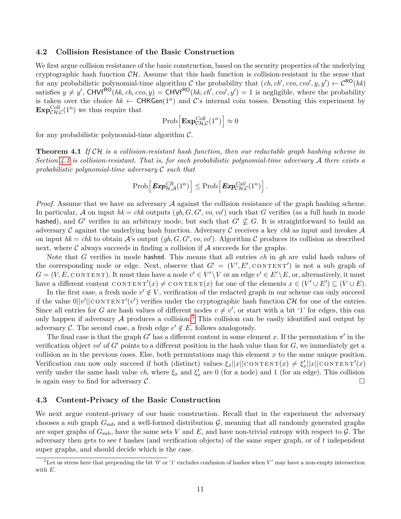## **4.2 Collision Resistance of the Basic Construction**

We first argue collision resistance of the basic construction, based on the security properties of the underlying cryptographic hash function  $\mathcal{CH}$ . Assume that this hash function is collision-resistant in the sense that for any probabilistic polynomial-time algorithm C the probability that  $(ch, ch', cvo, cvo', y, y') \leftarrow C^{RO}(hk)$ satisfies  $y \neq y'$ , CHVf<sup>RO</sup>(*hk*, *ch*, *cvo*, *y*) = CHVf<sup>RO</sup>(*hk*, *ch'*, *cvo'*, *y'*) = 1 is negligible, where the probability is taken over the choice  $hk \leftarrow \text{CHKGen}(1^n)$  and C's internal coin tosses. Denoting this experiment by  $\mathbf{Exp}_{\mathcal{CH},\mathcal{C}}^{\text{Coll}}(1^n)$  we thus require that

$$
\mathrm{Prob}\left[\mathbf{Exp}^{\mathrm{Coll}}_{\mathcal{CH},\mathcal{C}}(\mathbf{1}^n)\right]\approx 0
$$

for any probabilistic polynomial-time algorithm  $\mathcal{C}$ .

**Theorem 4.1** *If* CH *is a collision-resistant hash function, then our redactable graph hashing scheme in Section [4.1](#page-8-1) is collision-resistant. That is, for each probabilistic polynomial-time adversary* A *there exists a probabilistic polynomial-time adversary* C *such that*

$$
\operatorname{Prob}\left[\mathbf{Exp}_{\mathcal{H},\mathcal{A}}^{CR}(1^n)\right] \leq \operatorname{Prob}\left[\mathbf{Exp}_{\mathcal{CH},\mathcal{C}}^{Coll}(1^n)\right].
$$

*Proof.* Assume that we have an adversary A against the collision resistance of the graph hashing scheme. In particular, A on input  $hk = chk$  outputs  $(gh, G, G', vo, vo')$  such that G verifies (as a full hash in mode hashed), and *G*<sup> $\prime$ </sup> verifies in an arbitrary mode, but such that  $G^{\prime} \nsubseteq G$ . It is straightforward to build an adversary C against the underlying hash function. Adversary C receives a key *chk* as input and invokes  $A$ on input  $hk = chk$  to obtain  $\mathcal{A}$ 's output  $(gh, G, G', vo, vo')$ . Algorithm C produces its collision as described next, where  $\mathcal C$  always succeeds in finding a collision if  $\mathcal A$  succeeds for the graphs.

Note that *G* verifies in mode hashed. This means that all entries *ch* in *gh* are valid hash values of the corresponding node or edge. Next, observe that  $G' = (V', E', \text{CONTENT}')$  is not a sub graph of  $G = (V, E, \text{CONTENT})$ . It must thus have a node  $v' \in V' \setminus V$  or an edge  $e' \in E' \setminus E$ , or, alternatively, it must have a different content CONTENT'(*x*)  $\neq$  CONTENT(*x*) for one of the elements  $x \in (V' \cup E') \subseteq (V \cup E)$ .

In the first case, a fresh node  $v' \notin V$ , verification of the redacted graph in our scheme can only succeed if the value  $0||v'||$ CONTENT'(v') verifies under the cryptographic hash function  $\mathcal{CH}$  for one of the entries. Since all entries for *G* are hash values of different nodes  $v \neq v'$ , or start with a bit '1' for edges, this can only happen if adversary A produces a collision.<sup>[5](#page-10-0)</sup> This collision can be easily identified and output by adversary C. The second case, a fresh edge  $e' \notin E$ , follows analogously.

The final case is that the graph *G*<sup> $\prime$ </sup> has a different content in some element *x*. If the permutation  $\pi'$  in the verification object *vo*<sup> $\sigma$ </sup> of *G*<sup> $\sigma$ </sup> points to a different position in the hash value than for *G*, we immediately get a collision as in the previous cases. Else, both permutations map this element *x* to the same unique position. Verification can now only succeed if both (distinct) values  $\xi_x||x||$ CONTENT $(x) \neq \xi'_x||x||$ CONTENT' $(x)$ verify under the same hash value  $ch$ , where  $\xi_x$  and  $\xi'_x$  are 0 (for a node) and 1 (for an edge). This collision is again easy to find for adversary  $\mathcal C$ .

## **4.3 Content-Privacy of the Basic Construction**

We next argue content-privacy of our basic construction. Recall that in the experiment the adversary chooses a sub graph  $G_{sub}$  and a well-formed distribution  $G$ , meaning that all randomly generated graphs are super graphs of  $G_{sub}$ , have the same sets *V* and *E*, and have non-trivial entropy with respect to  $G$ . The adversary then gets to see *t* hashes (and verification objects) of the same super graph, or of *t* independent super graphs, and should decide which is the case.

<span id="page-10-0"></span><sup>&</sup>lt;sup>5</sup>Let us stress here that prepending the bit '0' or '1' excludes confusion of hashes when  $V'$  may have a non-empty intersection with *E*.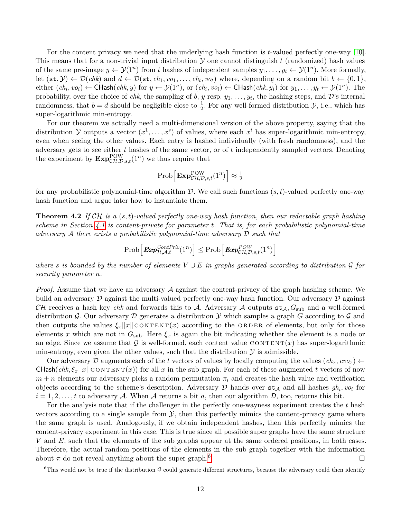<span id="page-11-1"></span>For the content privacy we need that the underlying hash function is *t*-valued perfectly one-way [\[10\]](#page-16-8). This means that for a non-trivial input distribution Y one cannot distinguish *t* (randomized) hash values of the same pre-image  $y \leftarrow \mathcal{Y}(1^n)$  from *t* hashes of independent samples  $y_1, \ldots, y_t \leftarrow \mathcal{Y}(1^n)$ . More formally, let  $(\texttt{st}, \mathcal{Y}) \leftarrow \mathcal{D}(chk)$  and  $d \leftarrow \mathcal{D}(\texttt{st}, ch_1, vo_1, \ldots, ch_t, vo_t)$  where, depending on a random bit  $b \leftarrow \{0, 1\},$ either  $(ch_i, vo_i) \leftarrow \textsf{CHash}(chk, y) \text{ for } y \leftarrow \mathcal{Y}(1^n), \text{ or } (ch_i, vo_i) \leftarrow \textsf{CHash}(chk, y_i) \text{ for } y_1, \ldots, y_t \leftarrow \mathcal{Y}(1^n).$  The probability, over the choice of *chk*, the sampling of *b*, *y* resp.  $y_1, \ldots, y_t$ , the hashing steps, and  $\mathcal{D}$ 's internal randomness, that  $b = d$  should be negligible close to  $\frac{1}{2}$ . For any well-formed distribution  $\mathcal{Y}$ , i.e., which has super-logarithmic min-entropy.

For our theorem we actually need a multi-dimensional version of the above property, saying that the distribution Y outputs a vector  $(x^1, \ldots, x^s)$  of values, where each  $x^i$  has super-logarithmic min-entropy, even when seeing the other values. Each entry is hashed individually (with fresh randomness), and the adversary gets to see either *t* hashes of the same vector, or of *t* independently sampled vectors. Denoting the experiment by  $\mathbf{Exp}_{\mathcal{CH},\mathcal{D},s,t}^{\text{POW}}(1^n)$  we thus require that

$$
\operatorname{Prob}\left[\mathbf{Exp}_{\mathcal{CH},\mathcal{D},s,t}^{\text{POW}}(1^n)\right]\approx\tfrac{1}{2}
$$

for any probabilistic polynomial-time algorithm D. We call such functions (*s, t*)-valued perfectly one-way hash function and argue later how to instantiate them.

**Theorem 4.2** *If* CH *is a* (*s, t*)*-valued perfectly one-way hash function, then our redactable graph hashing scheme in Section [4.1](#page-8-1) is content-private for parameter t. That is, for each probabilistic polynomial-time adversary* A *there exists a probabilistic polynomial-time adversary* D *such that*

$$
\textrm{Prob}\Big[\textit{\textbf{Exp}}_{\mathcal{H},\mathcal{A},t}^{\textit{ContPriv}}(1^n)\Big]\leq \textrm{Prob}\Big[\textit{\textbf{Exp}}_{\mathcal{CH},\mathcal{D},s,t}^{\textit{POW}}(1^n)\Big]
$$

*where s is bounded by the number of elements*  $V \cup E$  *in graphs generated according to distribution*  $\mathcal{G}$  *for security parameter n.*

*Proof.* Assume that we have an adversary  $A$  against the content-privacy of the graph hashing scheme. We build an adversary  $\mathcal D$  against the multi-valued perfectly one-way hash function. Our adversary  $\mathcal D$  against CH receives a hash key *chk* and forwards this to A. Adversary A outputs  $\mathfrak{st}_{\mathcal{A}}, G_{\text{sub}}$  and a well-formed distribution  $\mathcal G$ . Our adversary  $\mathcal D$  generates a distribution  $\mathcal Y$  which samples a graph  $G$  according to  $\mathcal G$  and then outputs the values  $\xi_x||x||$ CONTENT(*x*) according to the ORDER of elements, but only for those elements *x* which are not in  $G_{sub}$ . Here  $\xi_x$  is again the bit indicating whether the element is a node or an edge. Since we assume that  $\mathcal G$  is well-formed, each content value CONTENT $(x)$  has super-logarithmic min-entropy, even given the other values, such that the distribution  $\mathcal Y$  is admissible.

Our adversary D augments each of the *t* vectors of values by locally computing the values  $(ch_x, cvo_x) \leftarrow$ CHash(*chk*,  $\xi_x ||x||$ CONTENT(*x*)) for all *x* in the sub graph. For each of these augmented *t* vectors of now  $m + n$  elements our adversary picks a random permutation  $\pi_i$  and creates the hash value and verification objects according to the scheme's description. Adversary  $D$  hands over  $st_A$  and all hashes  $gh_i, vo_i$  for  $i = 1, 2, \ldots, t$  to adversary A. When A returns a bit *a*, then our algorithm D, too, returns this bit.

For the analysis note that if the challenger in the perfectly one-wayness experiment creates the *t* hash vectors according to a single sample from  $\mathcal{Y}$ , then this perfectly mimics the content-privacy game where the same graph is used. Analogously, if we obtain independent hashes, then this perfectly mimics the content-privacy experiment in this case. This is true since all possible super graphs have the same structure *V* and *E*, such that the elements of the sub graphs appear at the same ordered positions, in both cases. Therefore, the actual random positions of the elements in the sub graph together with the information about  $\pi$  do not reveal anything about the super graph.<sup>[6](#page-11-0)</sup>

<span id="page-11-0"></span> $\overline{6}$ This would not be true if the distribution G could generate different structures, because the adversary could then identify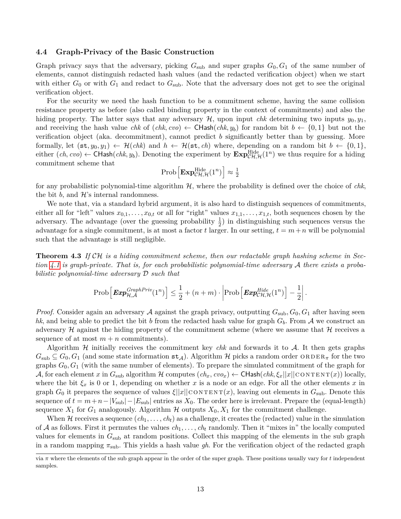## **4.4 Graph-Privacy of the Basic Construction**

Graph privacy says that the adversary, picking  $G_{sub}$  and super graphs  $G_0, G_1$  of the same number of elements, cannot distinguish redacted hash values (and the redacted verification object) when we start with either  $G_0$  or with  $G_1$  and redact to  $G_{sub}$ . Note that the adversary does not get to see the original verification object.

For the security we need the hash function to be a commitment scheme, having the same collision resistance property as before (also called binding property in the context of commitments) and also the hiding property. The latter says that any adversary  $H$ , upon input *chk* determining two inputs  $y_0, y_1$ , and receiving the hash value *chk* of  $(chk, cvo) \leftarrow \text{CHash}(chk, y_b)$  for random bit  $b \leftarrow \{0,1\}$  but not the verification object (aka. decommitment), cannot predict *b* significantly better than by guessing. More formally, let  $(\texttt{st}, y_0, y_1) \leftarrow \mathcal{H}(chk)$  and  $h \leftarrow \mathcal{H}(\texttt{st}, ch)$  where, depending on a random bit  $b \leftarrow \{0, 1\},$ either  $(ch, cvo) \leftarrow \text{CHash}(chk, y_b)$ . Denoting the experiment by  $\text{Exp}_{\mathcal{CH},\mathcal{H}}^{\text{Hide}}(1^n)$  we thus require for a hiding commitment scheme that

$$
\mathrm{Prob}\Big[\mathbf{Exp}_{\mathcal{CH},\mathcal{H}}^{\mathrm{Hide}}(1^n)\Big] \approx \frac{1}{2}
$$

for any probabilistic polynomial-time algorithm H, where the probability is defined over the choice of *chk*, the bit  $b$ , and  $\mathcal{H}$ 's internal randomness.

We note that, via a standard hybrid argument, it is also hard to distinguish sequences of commitments, either all for "left" values  $x_{0,1}, \ldots, x_{0,t}$  or all for "right" values  $x_{1,1}, \ldots, x_{1,t}$ , both sequences chosen by the adversary. The advantage (over the guessing probability  $\frac{1}{2}$ ) in distinguishing such sequences versus the advantage for a single commitment, is at most a factor  $t$  larger. In our setting,  $t = m + n$  will be polynomial such that the advantage is still negligible.

**Theorem 4.3** *If* CH *is a hiding commitment scheme, then our redactable graph hashing scheme in Section [4.1](#page-8-1) is graph-private. That is, for each probabilistic polynomial-time adversary* A *there exists a probabilistic polynomial-time adversary* D *such that*

$$
\operatorname{Prob}\left[\mathbf{Exp}_{\mathcal{H},\mathcal{A}}^{GraphPriv}(1^n)\right] \leq \frac{1}{2} + (n+m) \cdot \left|\operatorname{Prob}\left[\mathbf{Exp}_{\mathcal{CH},\mathcal{H}}^{Hide}(1^n)\right] - \frac{1}{2}\right|.
$$

*Proof.* Consider again an adversary A against the graph privacy, outputting  $G_{sub}$ ,  $G_0$ ,  $G_1$  after having seen *hk*, and being able to predict the bit *b* from the redacted hash value for graph *Gb*. From A we construct an adversary H against the hiding property of the commitment scheme (where we assume that H receives a sequence of at most  $m + n$  commitments).

Algorithm  $H$  initially receives the commitment key *chk* and forwards it to  $A$ . It then gets graphs  $G_{sub} \subseteq G_0, G_1$  (and some state information  $st_A$ ). Algorithm H picks a random order  $ORDER_{\pi}$  for the two graphs *G*0*, G*<sup>1</sup> (with the same number of elements). To prepare the simulated commitment of the graph for A, for each element *x* in  $G_{sub}$  algorithm H computes  $(ch_x, cvo_x) \leftarrow \textsf{CHash}(ch_k, \xi_x ||x|| \text{CONTENT}(x))$  locally, where the bit  $\xi_x$  is 0 or 1, depending on whether x is a node or an edge. For all the other elements x in graph  $G_0$  it prepares the sequence of values  $\xi||x||$ CONTENT $(x)$ , leaving out elements in  $G_{sub}$ . Denote this sequence of  $t = m + n - |V_{sub}| - |E_{sub}|$  entries as  $X_0$ . The order here is irrelevant. Prepare the (equal-length) sequence  $X_1$  for  $G_1$  analogously. Algorithm  $H$  outputs  $X_0, X_1$  for the commitment challenge.

When H receives a sequence  $(ch_1, \ldots, ch_t)$  as a challenge, it creates the (redacted) value in the simulation of  $A$  as follows. First it permutes the values  $ch_1, \ldots, ch_t$  randomly. Then it "mixes in" the locally computed values for elements in *G*sub at random positions. Collect this mapping of the elements in the sub graph in a random mapping *π*sub. This yields a hash value *gh*. For the verification object of the redacted graph

via *π* where the elements of the sub graph appear in the order of the super graph. These positions usually vary for *t* independent samples.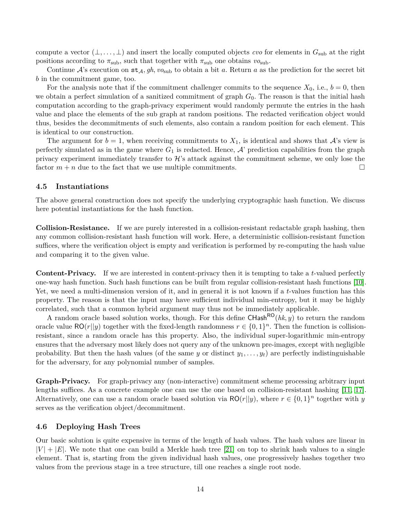<span id="page-13-1"></span>compute a vector  $(\perp,\ldots,\perp)$  and insert the locally computed objects *cvo* for elements in  $G_{sub}$  at the right positions according to  $\pi_{\text{sub}}$ , such that together with  $\pi_{\text{sub}}$  one obtains  $vo_{\text{sub}}$ .

Continue  $A$ 's execution on  $st_A$ ,  $gh$ ,  $vo_{sub}$  to obtain a bit *a*. Return *a* as the prediction for the secret bit *b* in the commitment game, too.

For the analysis note that if the commitment challenger commits to the sequence  $X_0$ , i.e.,  $b = 0$ , then we obtain a perfect simulation of a sanitized commitment of graph  $G_0$ . The reason is that the initial hash computation according to the graph-privacy experiment would randomly permute the entries in the hash value and place the elements of the sub graph at random positions. The redacted verification object would thus, besides the decommitments of such elements, also contain a random position for each element. This is identical to our construction.

The argument for  $b = 1$ , when receiving commitments to  $X_1$ , is identical and shows that  $\mathcal{A}$ 's view is perfectly simulated as in the game where  $G_1$  is redacted. Hence,  $A'$  prediction capabilities from the graph privacy experiment immediately transfer to  $\mathcal{H}$ 's attack against the commitment scheme, we only lose the factor  $m + n$  due to the fact that we use multiple commitments.

#### **4.5 Instantiations**

The above general construction does not specify the underlying cryptographic hash function. We discuss here potential instantiations for the hash function.

**Collision-Resistance.** If we are purely interested in a collision-resistant redactable graph hashing, then any common collision-resistant hash function will work. Here, a deterministic collision-resistant function suffices, where the verification object is empty and verification is performed by re-computing the hash value and comparing it to the given value.

**Content-Privacy.** If we are interested in content-privacy then it is tempting to take a *t*-valued perfectly one-way hash function. Such hash functions can be built from regular collision-resistant hash functions [\[10\]](#page-16-8). Yet, we need a multi-dimension version of it, and in general it is not known if a *t*-values function has this property. The reason is that the input may have sufficient individual min-entropy, but it may be highly correlated, such that a common hybrid argument may thus not be immediately applicable.

A random oracle based solution works, though. For this define CHash<sup>RO</sup>( $hk, y$ ) to return the random oracle value  $RO(r||y)$  together with the fixed-length randomness  $r \in \{0,1\}^n$ . Then the function is collisionresistant, since a random oracle has this property. Also, the individual super-logarithmic min-entropy ensures that the adversary most likely does not query any of the unknown pre-images, except with negligible probability. But then the hash values (of the same *y* or distinct  $y_1, \ldots, y_t$ ) are perfectly indistinguishable for the adversary, for any polynomial number of samples.

**Graph-Privacy.** For graph-privacy any (non-interactive) commitment scheme processing arbitrary input lengths suffices. As a concrete example one can use the one based on collision-resistant hashing [\[11,](#page-16-10) [17\]](#page-16-11). Alternatively, one can use a random oracle based solution via  $RO(r||y)$ , where  $r \in \{0,1\}^n$  together with *y* serves as the verification object/decommitment.

## <span id="page-13-0"></span>**4.6 Deploying Hash Trees**

Our basic solution is quite expensive in terms of the length of hash values. The hash values are linear in  $|V| + |E|$ . We note that one can build a Merkle hash tree [\[21\]](#page-17-3) on top to shrink hash values to a single element. That is, starting from the given individual hash values, one progressively hashes together two values from the previous stage in a tree structure, till one reaches a single root node.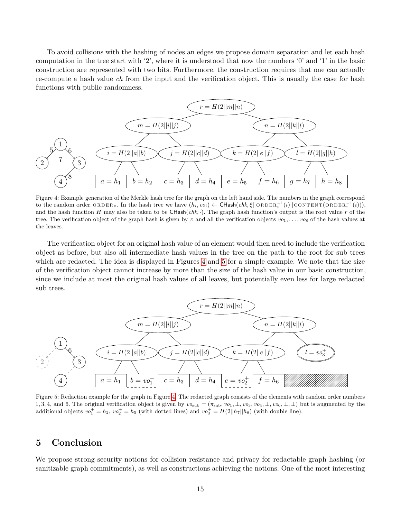To avoid collisions with the hashing of nodes an edges we propose domain separation and let each hash computation in the tree start with '2', where it is understood that now the numbers '0' and '1' in the basic construction are represented with two bits. Furthermore, the construction requires that one can actually re-compute a hash value *ch* from the input and the verification object. This is usually the case for hash functions with public randomness.

<span id="page-14-0"></span>

Figure 4: Example generation of the Merkle hash tree for the graph on the left hand side. The numbers in the graph correspond to the random order  $\texttt{ORDER}_{\pi}$ . In the hash tree we have  $(h_i, vo_i) \leftarrow \textsf{CHash}(chk, \xi || \texttt{ORDER}_{\pi}^{-1}(i) || \texttt{CONTENT}(\texttt{ORDER}_{\pi}^{-1}(i))),$ and the hash function *H* may also be taken to be CHash( $chk$ , $\cdot$ ). The graph hash function's output is the root value *r* of the tree. The verification object of the graph hash is given by  $\pi$  and all the verification objects  $v_0, \ldots, v_8$  of the hash values at the leaves.

The verification object for an original hash value of an element would then need to include the verification object as before, but also all intermediate hash values in the tree on the path to the root for sub trees which are redacted. The idea is displayed in Figures [4](#page-14-0) and [5](#page-14-1) for a simple example. We note that the size of the verification object cannot increase by more than the size of the hash value in our basic construction, since we include at most the original hash values of all leaves, but potentially even less for large redacted sub trees.

<span id="page-14-1"></span>

Figure 5: Redaction example for the graph in Figure [4.](#page-14-0) The redacted graph consists of the elements with random order numbers 1, 3, 4, and 6. The original verification object is given by  $vo_{sub} = (\pi_{sub}, vo_1, \perp, vo_3, vo_4, \perp, vo_6, \perp, \perp)$  but is augmented by the additional objects  $vo_1^+ = h_2$ ,  $vo_2^+ = h_5$  (with dotted lines) and  $vo_3^+ = H(2||h_7||h_8)$  (with double line).

# **5 Conclusion**

We propose strong security notions for collision resistance and privacy for redactable graph hashing (or sanitizable graph commitments), as well as constructions achieving the notions. One of the most interesting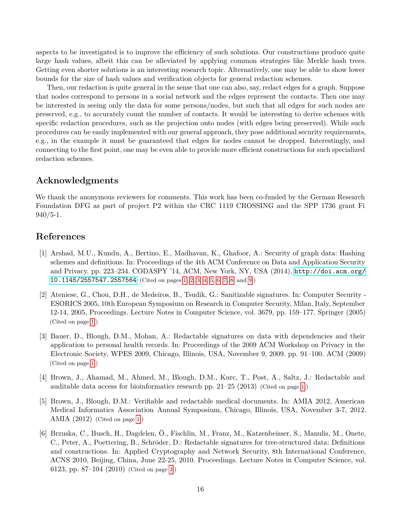aspects to be investigated is to improve the efficiency of such solutions. Our constructions produce quite large hash values, albeit this can be alleviated by applying common strategies like Merkle hash trees. Getting even shorter solutions is an interesting research topic. Alternatively, one may be able to show lower bounds for the size of hash values and verification objects for general redaction schemes.

Then, our redaction is quite general in the sense that one can also, say, redact edges for a graph. Suppose that nodes correspond to persons in a social network and the edges represent the contacts. Then one may be interested in seeing only the data for some persons/nodes, but such that all edges for such nodes are preserved, e.g., to accurately count the number of contacts. It would be interesting to derive schemes with specific redaction procedures, such as the projection onto nodes (with edges being preserved). While such procedures can be easily implemented with our general approach, they pose additional security requirements, e.g., in the example it must be guaranteed that edges for nodes cannot be dropped. Interestingly, and connecting to the first point, one may be even able to provide more efficient constructions for such specialized redaction schemes.

# **Acknowledgments**

We thank the anonymous reviewers for comments. This work has been co-funded by the German Research Foundation DFG as part of project P2 within the CRC 1119 CROSSING and the SPP 1736 grant Fi  $940/5-1$ .

# **References**

- <span id="page-15-4"></span>[1] Arshad, M.U., Kundu, A., Bertino, E., Madhavan, K., Ghafoor, A.: Security of graph data: Hashing schemes and definitions. In: Proceedings of the 4th ACM Conference on Data and Application Security and Privacy. pp. 223–234. CODASPY '14, ACM, New York, NY, USA (2014), [http://doi.acm.org/](http://doi.acm.org/10.1145/2557547.2557564) [10.1145/2557547.2557564](http://doi.acm.org/10.1145/2557547.2557564) (Cited on pages [1,](#page-0-0) [2,](#page-1-0) [3,](#page-2-0) [4,](#page-3-0) [5,](#page-4-1) [6,](#page-5-1) [7,](#page-6-1) [8,](#page-7-3) and [9.](#page-8-2))
- <span id="page-15-0"></span>[2] Ateniese, G., Chou, D.H., de Medeiros, B., Tsudik, G.: Sanitizable signatures. In: Computer Security - ESORICS 2005, 10th European Symposium on Research in Computer Security, Milan, Italy, September 12-14, 2005, Proceedings. Lecture Notes in Computer Science, vol. 3679, pp. 159–177. Springer (2005) (Cited on page [1.](#page-0-0))
- <span id="page-15-1"></span>[3] Bauer, D., Blough, D.M., Mohan, A.: Redactable signatures on data with dependencies and their application to personal health records. In: Proceedings of the 2009 ACM Workshop on Privacy in the Electronic Society, WPES 2009, Chicago, Illinois, USA, November 9, 2009. pp. 91–100. ACM (2009) (Cited on page [1.](#page-0-0))
- <span id="page-15-3"></span>[4] Brown, J., Ahamad, M., Ahmed, M., Blough, D.M., Kurc, T., Post, A., Saltz, J.: Redactable and auditable data access for bioinformatics research pp. 21–25 (2013) (Cited on page [1.](#page-0-0))
- <span id="page-15-2"></span>[5] Brown, J., Blough, D.M.: Verifiable and redactable medical documents. In: AMIA 2012, American Medical Informatics Association Annual Symposium, Chicago, Illinois, USA, November 3-7, 2012. AMIA (2012) (Cited on page [1.](#page-0-0))
- <span id="page-15-5"></span>[6] Brzuska, C., Busch, H., Dagdelen, Ö., Fischlin, M., Franz, M., Katzenbeisser, S., Manulis, M., Onete, C., Peter, A., Poettering, B., Schröder, D.: Redactable signatures for tree-structured data: Definitions and constructions. In: Applied Cryptography and Network Security, 8th International Conference, ACNS 2010, Beijing, China, June 22-25, 2010. Proceedings. Lecture Notes in Computer Science, vol. 6123, pp. 87–104 (2010) (Cited on page [3.](#page-2-0))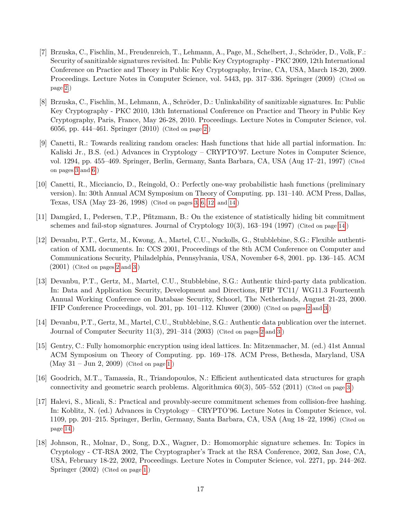- <span id="page-16-2"></span>[7] Brzuska, C., Fischlin, M., Freudenreich, T., Lehmann, A., Page, M., Schelbert, J., Schröder, D., Volk, F.: Security of sanitizable signatures revisited. In: Public Key Cryptography - PKC 2009, 12th International Conference on Practice and Theory in Public Key Cryptography, Irvine, CA, USA, March 18-20, 2009. Proceedings. Lecture Notes in Computer Science, vol. 5443, pp. 317–336. Springer (2009) (Cited on page [2.](#page-1-0))
- <span id="page-16-3"></span>[8] Brzuska, C., Fischlin, M., Lehmann, A., Schröder, D.: Unlinkability of sanitizable signatures. In: Public Key Cryptography - PKC 2010, 13th International Conference on Practice and Theory in Public Key Cryptography, Paris, France, May 26-28, 2010. Proceedings. Lecture Notes in Computer Science, vol. 6056, pp. 444–461. Springer (2010) (Cited on page [2.](#page-1-0))
- <span id="page-16-7"></span>[9] Canetti, R.: Towards realizing random oracles: Hash functions that hide all partial information. In: Kaliski Jr., B.S. (ed.) Advances in Cryptology – CRYPTO'97. Lecture Notes in Computer Science, vol. 1294, pp. 455–469. Springer, Berlin, Germany, Santa Barbara, CA, USA (Aug 17–21, 1997) (Cited on pages [3](#page-2-0) and [6.](#page-5-1))
- <span id="page-16-8"></span>[10] Canetti, R., Micciancio, D., Reingold, O.: Perfectly one-way probabilistic hash functions (preliminary version). In: 30th Annual ACM Symposium on Theory of Computing. pp. 131–140. ACM Press, Dallas, Texas, USA (May 23–26, 1998) (Cited on pages [3,](#page-2-0) [6,](#page-5-1) [12,](#page-11-1) and [14.](#page-13-1))
- <span id="page-16-10"></span>[11] Damgård, I., Pedersen, T.P., Pfitzmann, B.: On the existence of statistically hiding bit commitment schemes and fail-stop signatures. Journal of Cryptology 10(3), 163–194 (1997) (Cited on page [14.](#page-13-1))
- <span id="page-16-5"></span>[12] Devanbu, P.T., Gertz, M., Kwong, A., Martel, C.U., Nuckolls, G., Stubblebine, S.G.: Flexible authentication of XML documents. In: CCS 2001, Proceedings of the 8th ACM Conference on Computer and Communications Security, Philadelphia, Pennsylvania, USA, November 6-8, 2001. pp. 136–145. ACM (2001) (Cited on pages [2](#page-1-0) and [3.](#page-2-0))
- <span id="page-16-4"></span>[13] Devanbu, P.T., Gertz, M., Martel, C.U., Stubblebine, S.G.: Authentic third-party data publication. In: Data and Application Security, Development and Directions, IFIP TC11/ WG11.3 Fourteenth Annual Working Conference on Database Security, Schoorl, The Netherlands, August 21-23, 2000. IFIP Conference Proceedings, vol. 201, pp. 101–112. Kluwer (2000) (Cited on pages [2](#page-1-0) and [3.](#page-2-0))
- <span id="page-16-6"></span>[14] Devanbu, P.T., Gertz, M., Martel, C.U., Stubblebine, S.G.: Authentic data publication over the internet. Journal of Computer Security 11(3), 291–314 (2003) (Cited on pages [2](#page-1-0) and [3.](#page-2-0))
- <span id="page-16-0"></span>[15] Gentry, C.: Fully homomorphic encryption using ideal lattices. In: Mitzenmacher, M. (ed.) 41st Annual ACM Symposium on Theory of Computing. pp. 169–178. ACM Press, Bethesda, Maryland, USA (May 31 – Jun 2, 2009) (Cited on page [1.](#page-0-0))
- <span id="page-16-9"></span>[16] Goodrich, M.T., Tamassia, R., Triandopoulos, N.: Efficient authenticated data structures for graph connectivity and geometric search problems. Algorithmica  $60(3)$ ,  $505-552$  (2011) (Cited on page [3.](#page-2-0))
- <span id="page-16-11"></span>[17] Halevi, S., Micali, S.: Practical and provably-secure commitment schemes from collision-free hashing. In: Koblitz, N. (ed.) Advances in Cryptology – CRYPTO'96. Lecture Notes in Computer Science, vol. 1109, pp. 201–215. Springer, Berlin, Germany, Santa Barbara, CA, USA (Aug 18–22, 1996) (Cited on page [14.](#page-13-1))
- <span id="page-16-1"></span>[18] Johnson, R., Molnar, D., Song, D.X., Wagner, D.: Homomorphic signature schemes. In: Topics in Cryptology - CT-RSA 2002, The Cryptographer's Track at the RSA Conference, 2002, San Jose, CA, USA, February 18-22, 2002, Proceedings. Lecture Notes in Computer Science, vol. 2271, pp. 244–262. Springer (2002) (Cited on page [1.](#page-0-0))